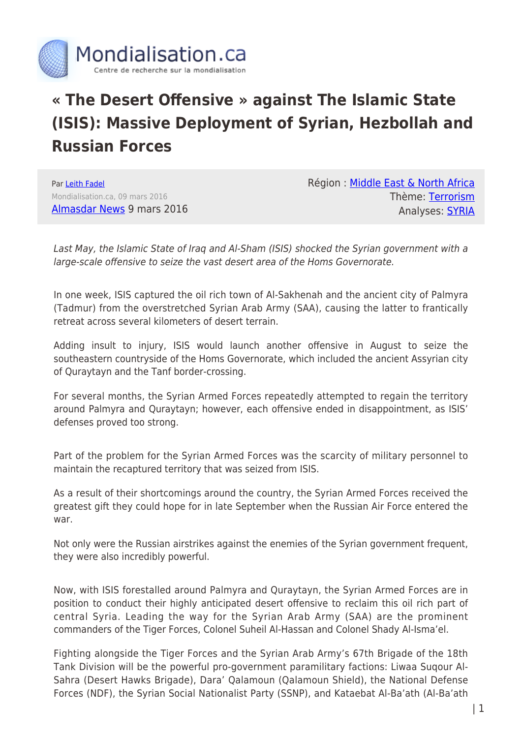

## **« The Desert Offensive » against The Islamic State (ISIS): Massive Deployment of Syrian, Hezbollah and Russian Forces**

Par [Leith Fadel](https://www.mondialisation.ca/author/leith-fadel) Mondialisation.ca, 09 mars 2016 [Almasdar News](https://www.almasdarnews.com/article/syrian-forces-hezbollah-mobilize-largest-desert-offensive-isis/) 9 mars 2016 Région : [Middle East & North Africa](https://www.mondialisation.ca/region/middle-east) Thème: [Terrorism](https://www.mondialisation.ca/theme/9-11-war-on-terrorism) Analyses: [SYRIA](https://www.mondialisation.ca/indepthreport/syria-nato-s-next-war)

Last May, the Islamic State of Iraq and Al-Sham (ISIS) shocked the Syrian government with a large-scale offensive to seize the vast desert area of the Homs Governorate.

In one week, ISIS captured the oil rich town of Al-Sakhenah and the ancient city of Palmyra (Tadmur) from the overstretched Syrian Arab Army (SAA), causing the latter to frantically retreat across several kilometers of desert terrain.

Adding insult to injury, ISIS would launch another offensive in August to seize the southeastern countryside of the Homs Governorate, which included the ancient Assyrian city of Quraytayn and the Tanf border-crossing.

For several months, the Syrian Armed Forces repeatedly attempted to regain the territory around Palmyra and Quraytayn; however, each offensive ended in disappointment, as ISIS' defenses proved too strong.

Part of the problem for the Syrian Armed Forces was the scarcity of military personnel to maintain the recaptured territory that was seized from ISIS.

As a result of their shortcomings around the country, the Syrian Armed Forces received the greatest gift they could hope for in late September when the Russian Air Force entered the war.

Not only were the Russian airstrikes against the enemies of the Syrian government frequent, they were also incredibly powerful.

Now, with ISIS forestalled around Palmyra and Quraytayn, the Syrian Armed Forces are in position to conduct their highly anticipated desert offensive to reclaim this oil rich part of central Syria. Leading the way for the Syrian Arab Army (SAA) are the prominent commanders of the Tiger Forces, Colonel Suheil Al-Hassan and Colonel Shady Al-Isma'el.

Fighting alongside the Tiger Forces and the Syrian Arab Army's 67th Brigade of the 18th Tank Division will be the powerful pro-government paramilitary factions: Liwaa Suqour Al-Sahra (Desert Hawks Brigade), Dara' Qalamoun (Qalamoun Shield), the National Defense Forces (NDF), the Syrian Social Nationalist Party (SSNP), and Kataebat Al-Ba'ath (Al-Ba'ath